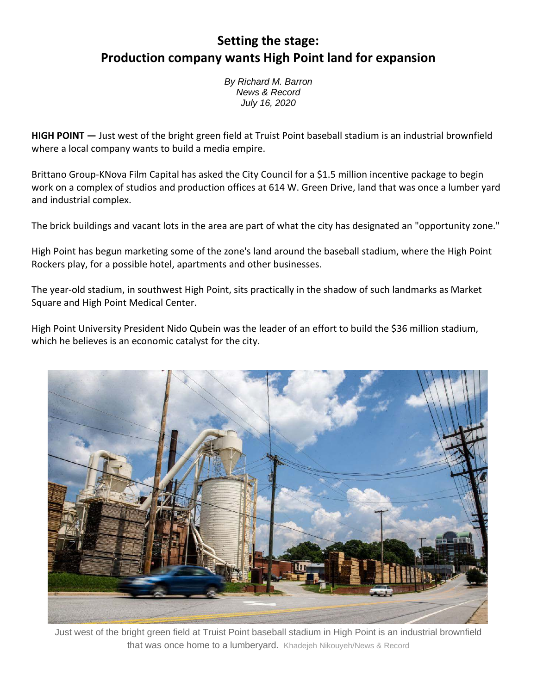## **Setting the stage: Production company wants High Point land for expansion**

*By Richard M. Barron News & Record July 16, 2020*

**HIGH POINT —** Just west of the bright green field at Truist Point baseball stadium is an industrial brownfield where a local company wants to build a media empire.

Brittano Group-KNova Film Capital has asked the City Council for a \$1.5 million incentive package to begin work on a complex of studios and production offices at 614 W. Green Drive, land that was once a lumber yard and industrial complex.

The brick buildings and vacant lots in the area are part of what the city has designated an "opportunity zone."

High Point has begun marketing some of the zone's land around the baseball stadium, where the High Point Rockers play, for a possible hotel, apartments and other businesses.

The year-old stadium, in southwest High Point, sits practically in the shadow of such landmarks as Market Square and High Point Medical Center.

High Point University President Nido Qubein was the leader of an effort to build the \$36 million stadium, which he believes is an economic catalyst for the city.



Just west of the bright green field at Truist Point baseball stadium in High Point is an industrial brownfield that was once home to a lumberyard. Khadejeh Nikouyeh/News & Record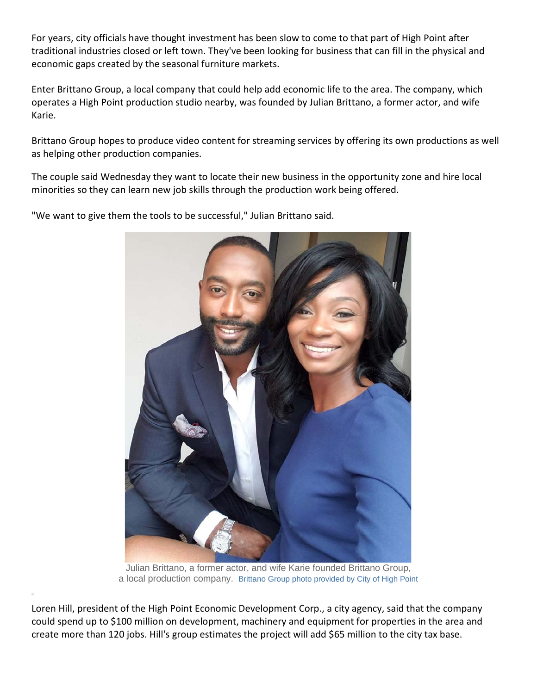For years, city officials have thought investment has been slow to come to that part of High Point after traditional industries closed or left town. They've been looking for business that can fill in the physical and economic gaps created by the seasonal furniture markets.

Enter Brittano Group, a local company that could help add economic life to the area. The company, which operates a High Point production studio nearby, was founded by Julian Brittano, a former actor, and wife Karie.

Brittano Group hopes to produce video content for streaming services by offering its own productions as well as helping other production companies.

[The couple said Wednesday they want to locate their new business in the opportunity zone and hire local](https://greensboro.com/content/tncms/live/#2)  [minorities so they can learn new job skills through the production work being offered.](https://greensboro.com/content/tncms/live/#2)

["We want to give them the tools to be successful," Julian Brittano said.](https://greensboro.com/content/tncms/live/#2) 



Julian Brittano, a former actor, and wife Karie founded Brittano Group, a local production company. Brittano Group photo provided by City of High Point

Loren Hill, president of the High Point Economic Development Corp., a city agency, said that the company could spend up to \$100 million on development, machinery and equipment for properties in the area and create more than 120 jobs. Hill's group estimates the project will add \$65 million to the city tax base.